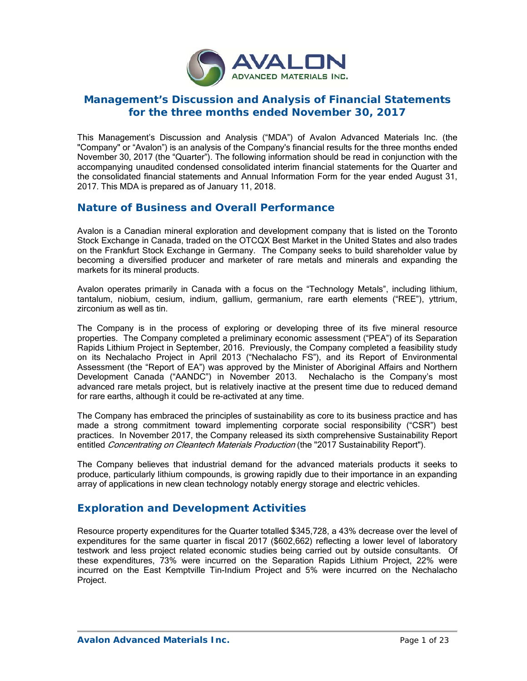

# **Management's Discussion and Analysis of Financial Statements for the three months ended November 30, 2017**

This Management's Discussion and Analysis ("MDA") of Avalon Advanced Materials Inc. (the "Company" or "Avalon") is an analysis of the Company's financial results for the three months ended November 30, 2017 (the "Quarter"). The following information should be read in conjunction with the accompanying unaudited condensed consolidated interim financial statements for the Quarter and the consolidated financial statements and Annual Information Form for the year ended August 31, 2017. This MDA is prepared as of January 11, 2018.

## **Nature of Business and Overall Performance**

Avalon is a Canadian mineral exploration and development company that is listed on the Toronto Stock Exchange in Canada, traded on the OTCQX Best Market in the United States and also trades on the Frankfurt Stock Exchange in Germany. The Company seeks to build shareholder value by becoming a diversified producer and marketer of rare metals and minerals and expanding the markets for its mineral products.

Avalon operates primarily in Canada with a focus on the "Technology Metals", including lithium, tantalum, niobium, cesium, indium, gallium, germanium, rare earth elements ("REE"), yttrium, zirconium as well as tin.

The Company is in the process of exploring or developing three of its five mineral resource properties. The Company completed a preliminary economic assessment ("PEA") of its Separation Rapids Lithium Project in September, 2016. Previously, the Company completed a feasibility study on its Nechalacho Project in April 2013 ("Nechalacho FS"), and its Report of Environmental Assessment (the "Report of EA") was approved by the Minister of Aboriginal Affairs and Northern Development Canada ("AANDC") in November 2013. Nechalacho is the Company's most advanced rare metals project, but is relatively inactive at the present time due to reduced demand for rare earths, although it could be re-activated at any time.

The Company has embraced the principles of sustainability as core to its business practice and has made a strong commitment toward implementing corporate social responsibility ("CSR") best practices. In November 2017, the Company released its sixth comprehensive Sustainability Report entitled Concentrating on Cleantech Materials Production (the "2017 Sustainability Report").

The Company believes that industrial demand for the advanced materials products it seeks to produce, particularly lithium compounds, is growing rapidly due to their importance in an expanding array of applications in new clean technology notably energy storage and electric vehicles.

## **Exploration and Development Activities**

Resource property expenditures for the Quarter totalled \$345,728, a 43% decrease over the level of expenditures for the same quarter in fiscal 2017 (\$602,662) reflecting a lower level of laboratory testwork and less project related economic studies being carried out by outside consultants. Of these expenditures, 73% were incurred on the Separation Rapids Lithium Project, 22% were incurred on the East Kemptville Tin-Indium Project and 5% were incurred on the Nechalacho Project.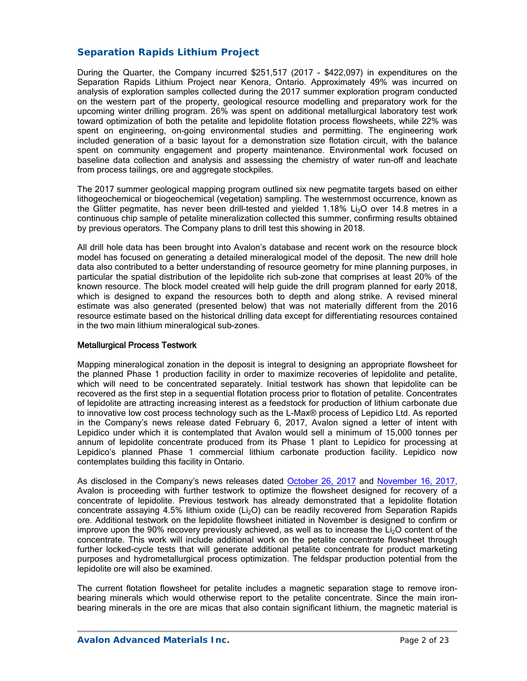### *Separation Rapids Lithium Project*

During the Quarter, the Company incurred \$251,517 (2017 - \$422,097) in expenditures on the Separation Rapids Lithium Project near Kenora, Ontario. Approximately 49% was incurred on analysis of exploration samples collected during the 2017 summer exploration program conducted on the western part of the property, geological resource modelling and preparatory work for the upcoming winter drilling program. 26% was spent on additional metallurgical laboratory test work toward optimization of both the petalite and lepidolite flotation process flowsheets, while 22% was spent on engineering, on-going environmental studies and permitting. The engineering work included generation of a basic layout for a demonstration size flotation circuit, with the balance spent on community engagement and property maintenance. Environmental work focused on baseline data collection and analysis and assessing the chemistry of water run-off and leachate from process tailings, ore and aggregate stockpiles.

The 2017 summer geological mapping program outlined six new pegmatite targets based on either lithogeochemical or biogeochemical (vegetation) sampling. The westernmost occurrence, known as the Glitter pegmatite, has never been drill-tested and yielded 1.18% Li<sub>2</sub>O over 14.8 metres in a continuous chip sample of petalite mineralization collected this summer, confirming results obtained by previous operators. The Company plans to drill test this showing in 2018.

All drill hole data has been brought into Avalon's database and recent work on the resource block model has focused on generating a detailed mineralogical model of the deposit. The new drill hole data also contributed to a better understanding of resource geometry for mine planning purposes, in particular the spatial distribution of the lepidolite rich sub-zone that comprises at least 20% of the known resource. The block model created will help guide the drill program planned for early 2018, which is designed to expand the resources both to depth and along strike. A revised mineral estimate was also generated (presented below) that was not materially different from the 2016 resource estimate based on the historical drilling data except for differentiating resources contained in the two main lithium mineralogical sub-zones.

#### Metallurgical Process Testwork

Mapping mineralogical zonation in the deposit is integral to designing an appropriate flowsheet for the planned Phase 1 production facility in order to maximize recoveries of lepidolite and petalite, which will need to be concentrated separately. Initial testwork has shown that lepidolite can be recovered as the first step in a sequential flotation process prior to flotation of petalite. Concentrates of lepidolite are attracting increasing interest as a feedstock for production of lithium carbonate due to innovative low cost process technology such as the L-Max® process of Lepidico Ltd. As reported in the Company's news release dated February 6, 2017, Avalon signed a letter of intent with Lepidico under which it is contemplated that Avalon would sell a minimum of 15,000 tonnes per annum of lepidolite concentrate produced from its Phase 1 plant to Lepidico for processing at Lepidico's planned Phase 1 commercial lithium carbonate production facility. Lepidico now contemplates building this facility in Ontario.

As disclosed in the Company's news releases dated October 26, 2017 and November 16, 2017, Avalon is proceeding with further testwork to optimize the flowsheet designed for recovery of a concentrate of lepidolite. Previous testwork has already demonstrated that a lepidolite flotation concentrate assaying  $4.5\%$  lithium oxide (Li<sub>2</sub>O) can be readily recovered from Separation Rapids ore. Additional testwork on the lepidolite flowsheet initiated in November is designed to confirm or improve upon the 90% recovery previously achieved, as well as to increase the  $Li<sub>2</sub>O$  content of the concentrate. This work will include additional work on the petalite concentrate flowsheet through further locked-cycle tests that will generate additional petalite concentrate for product marketing purposes and hydrometallurgical process optimization. The feldspar production potential from the lepidolite ore will also be examined.

The current flotation flowsheet for petalite includes a magnetic separation stage to remove ironbearing minerals which would otherwise report to the petalite concentrate. Since the main ironbearing minerals in the ore are micas that also contain significant lithium, the magnetic material is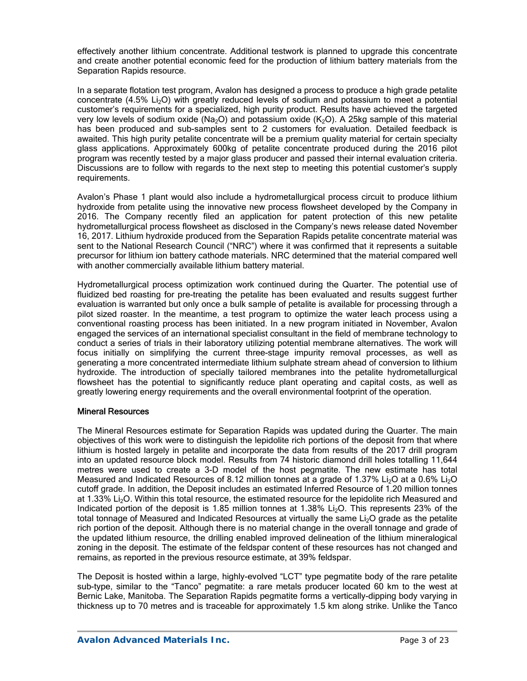effectively another lithium concentrate. Additional testwork is planned to upgrade this concentrate and create another potential economic feed for the production of lithium battery materials from the Separation Rapids resource.

In a separate flotation test program, Avalon has designed a process to produce a high grade petalite concentrate (4.5%  $Li<sub>2</sub>O$ ) with greatly reduced levels of sodium and potassium to meet a potential customer's requirements for a specialized, high purity product. Results have achieved the targeted very low levels of sodium oxide (Na<sub>2</sub>O) and potassium oxide (K<sub>2</sub>O). A 25kg sample of this material has been produced and sub-samples sent to 2 customers for evaluation. Detailed feedback is awaited. This high purity petalite concentrate will be a premium quality material for certain specialty glass applications. Approximately 600kg of petalite concentrate produced during the 2016 pilot program was recently tested by a major glass producer and passed their internal evaluation criteria. Discussions are to follow with regards to the next step to meeting this potential customer's supply requirements.

Avalon's Phase 1 plant would also include a hydrometallurgical process circuit to produce lithium hydroxide from petalite using the innovative new process flowsheet developed by the Company in 2016. The Company recently filed an application for patent protection of this new petalite hydrometallurgical process flowsheet as disclosed in the Company's news release dated November 16, 2017. Lithium hydroxide produced from the Separation Rapids petalite concentrate material was sent to the National Research Council ("NRC") where it was confirmed that it represents a suitable precursor for lithium ion battery cathode materials. NRC determined that the material compared well with another commercially available lithium battery material.

Hydrometallurgical process optimization work continued during the Quarter. The potential use of fluidized bed roasting for pre-treating the petalite has been evaluated and results suggest further evaluation is warranted but only once a bulk sample of petalite is available for processing through a pilot sized roaster. In the meantime, a test program to optimize the water leach process using a conventional roasting process has been initiated. In a new program initiated in November, Avalon engaged the services of an international specialist consultant in the field of membrane technology to conduct a series of trials in their laboratory utilizing potential membrane alternatives. The work will focus initially on simplifying the current three-stage impurity removal processes, as well as generating a more concentrated intermediate lithium sulphate stream ahead of conversion to lithium hydroxide. The introduction of specially tailored membranes into the petalite hydrometallurgical flowsheet has the potential to significantly reduce plant operating and capital costs, as well as greatly lowering energy requirements and the overall environmental footprint of the operation.

#### Mineral Resources

The Mineral Resources estimate for Separation Rapids was updated during the Quarter. The main objectives of this work were to distinguish the lepidolite rich portions of the deposit from that where lithium is hosted largely in petalite and incorporate the data from results of the 2017 drill program into an updated resource block model. Results from 74 historic diamond drill holes totalling 11,644 metres were used to create a 3-D model of the host pegmatite. The new estimate has total Measured and Indicated Resources of 8.12 million tonnes at a grade of 1.37% Li<sub>2</sub>O at a 0.6% Li<sub>2</sub>O cutoff grade. In addition, the Deposit includes an estimated Inferred Resource of 1.20 million tonnes at 1.33% Li<sub>2</sub>O. Within this total resource, the estimated resource for the lepidolite rich Measured and Indicated portion of the deposit is 1.85 million tonnes at 1.38%  $Li<sub>2</sub>O$ . This represents 23% of the total tonnage of Measured and Indicated Resources at virtually the same  $Li<sub>2</sub>O$  grade as the petalite rich portion of the deposit. Although there is no material change in the overall tonnage and grade of the updated lithium resource, the drilling enabled improved delineation of the lithium mineralogical zoning in the deposit. The estimate of the feldspar content of these resources has not changed and remains, as reported in the previous resource estimate, at 39% feldspar.

The Deposit is hosted within a large, highly-evolved "LCT" type pegmatite body of the rare petalite sub-type, similar to the "Tanco" pegmatite: a rare metals producer located 60 km to the west at Bernic Lake, Manitoba. The Separation Rapids pegmatite forms a vertically-dipping body varying in thickness up to 70 metres and is traceable for approximately 1.5 km along strike. Unlike the Tanco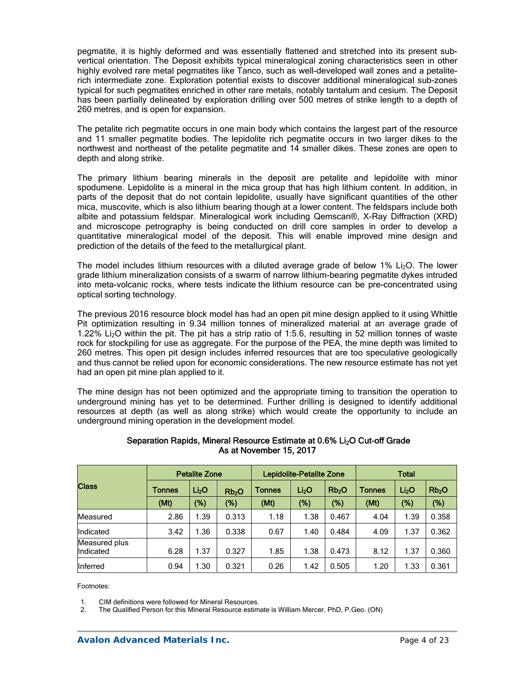pegmatite, it is highly deformed and was essentially flattened and stretched into its present subvertical orientation. The Deposit exhibits typical mineralogical zoning characteristics seen in other highly evolved rare metal pegmatites like Tanco, such as well-developed wall zones and a petaliterich intermediate zone. Exploration potential exists to discover additional mineralogical sub-zones typical for such pegmatites enriched in other rare metals, notably tantalum and cesium. The Deposit has been partially delineated by exploration drilling over 500 metres of strike length to a depth of 260 metres, and is open for expansion.

The petalite rich pegmatite occurs in one main body which contains the largest part of the resource and 11 smaller pegmatite bodies. The lepidolite rich pegmatite occurs in two larger dikes to the northwest and northeast of the petalite pegmatite and 14 smaller dikes. These zones are open to depth and along strike.

The primary lithium bearing minerals in the deposit are petalite and lepidolite with minor spodumene. Lepidolite is a mineral in the mica group that has high lithium content. In addition, in parts of the deposit that do not contain lepidolite, usually have significant quantities of the other mica, muscovite, which is also lithium bearing though at a lower content. The feldspars include both albite and potassium feldspar. Mineralogical work including Qemscan®, X-Ray Diffraction (XRD) and microscope petrography is being conducted on drill core samples in order to develop a quantitative mineralogical model of the deposit. This will enable improved mine design and prediction of the details of the feed to the metallurgical plant.

The model includes lithium resources with a diluted average grade of below 1% Li<sub>2</sub>O. The lower grade lithium mineralization consists of a swarm of narrow lithium-bearing pegmatite dykes intruded into meta-volcanic rocks, where tests indicate the lithium resource can be pre-concentrated using optical sorting technology.

The previous 2016 resource block model has had an open pit mine design applied to it using Whittle Pit optimization resulting in 9.34 million tonnes of mineralized material at an average grade of 1.22% Li2O within the pit. The pit has a strip ratio of 1:5.6, resulting in 52 million tonnes of waste rock for stockpiling for use as aggregate. For the purpose of the PEA, the mine depth was limited to 260 metres. This open pit design includes inferred resources that are too speculative geologically and thus cannot be relied upon for economic considerations. The new resource estimate has not yet had an open pit mine plan applied to it.

The mine design has not been optimized and the appropriate timing to transition the operation to underground mining has yet to be determined. Further drilling is designed to identify additional resources at depth (as well as along strike) which would create the opportunity to include an underground mining operation in the development model.

| <b>Class</b>               | <b>Petalite Zone</b> |                   |                   | <b>Lepidolite-Petalite Zone</b> |                   |                   | <b>Total</b>  |                   |                   |
|----------------------------|----------------------|-------------------|-------------------|---------------------------------|-------------------|-------------------|---------------|-------------------|-------------------|
|                            | Tonnes               | Li <sub>2</sub> O | Rb <sub>2</sub> O | Tonnes                          | Li <sub>2</sub> O | Rb <sub>2</sub> O | <b>Tonnes</b> | Li <sub>2</sub> O | Rb <sub>2</sub> O |
|                            | (Mt)                 | $(\%)$            | (%)               | (Mt)                            | (%)               | $(\%)$            | (Mt)          | (%)               | (%)               |
| Measured                   | 2.86                 | 1.39              | 0.313             | 1.18                            | 1.38              | 0.467             | 4.04          | 1.39              | 0.358             |
| Indicated                  | 3.42                 | .36               | 0.338             | 0.67                            | 1.40              | 0.484             | 4.09          | 1.37              | 0.362             |
| Measured plus<br>Indicated | 6.28                 | 1.37              | 0.327             | 1.85                            | 1.38              | 0.473             | 8.12          | 1.37              | 0.360             |
| Inferred                   | 0.94                 | 1.30              | 0.321             | 0.26                            | 1.42              | 0.505             | 1.20          | 1.33              | 0.361             |

#### Separation Rapids, Mineral Resource Estimate at 0.6% Li<sub>2</sub>O Cut-off Grade As at November 15, 2017

Footnotes:

1. CIM definitions were followed for Mineral Resources.

2. The Qualified Person for this Mineral Resource estimate is William Mercer, PhD, P.Geo. (ON)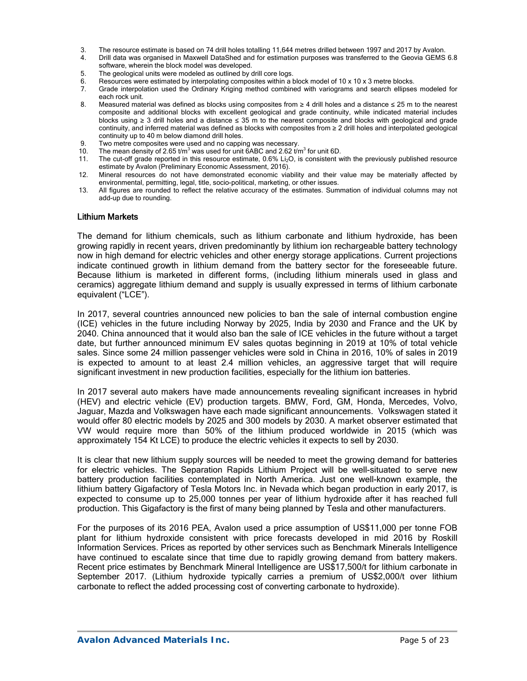- 3. The resource estimate is based on 74 drill holes totalling 11,644 metres drilled between 1997 and 2017 by Avalon.
- 4. Drill data was organised in Maxwell DataShed and for estimation purposes was transferred to the Geovia GEMS 6.8 software, wherein the block model was developed.
- 5. The geological units were modeled as outlined by drill core logs.
- 6. Resources were estimated by interpolating composites within a block model of 10 x 10 x 3 metre blocks.<br>6. Grade interpolation used the Ordinary Kriging method combined with variograms and search ellipses
- 7. Grade interpolation used the Ordinary Kriging method combined with variograms and search ellipses modeled for each rock unit.
- 8. Measured material was defined as blocks using composites from ≥ 4 drill holes and a distance ≤ 25 m to the nearest composite and additional blocks with excellent geological and grade continuity, while indicated material includes blocks using ≥ 3 drill holes and a distance ≤ 35 m to the nearest composite and blocks with geological and grade continuity, and inferred material was defined as blocks with composites from ≥ 2 drill holes and interpolated geological continuity up to 40 m below diamond drill holes.
- 9. Two metre composites were used and no capping was necessary.<br>10. The mean density of 2.65  $t/m<sup>3</sup>$  was used for unit 6ABC and 2.62  $t/r$
- 10. The mean density of 2.65  $\text{t/m}^3$  was used for unit 6ABC and 2.62  $\text{t/m}^3$  for unit 6D.
- 11. The cut-off grade reported in this resource estimate,  $0.6\%$  Li<sub>2</sub>O, is consistent with the previously published resource estimate by Avalon (Preliminary Economic Assessment, 2016).
- 12. Mineral resources do not have demonstrated economic viability and their value may be materially affected by environmental, permitting, legal, title, socio-political, marketing, or other issues.
- 13. All figures are rounded to reflect the relative accuracy of the estimates. Summation of individual columns may not add-up due to rounding.

#### Lithium Markets

The demand for lithium chemicals, such as lithium carbonate and lithium hydroxide, has been growing rapidly in recent years, driven predominantly by lithium ion rechargeable battery technology now in high demand for electric vehicles and other energy storage applications. Current projections indicate continued growth in lithium demand from the battery sector for the foreseeable future. Because lithium is marketed in different forms, (including lithium minerals used in glass and ceramics) aggregate lithium demand and supply is usually expressed in terms of lithium carbonate equivalent ("LCE").

In 2017, several countries announced new policies to ban the sale of internal combustion engine (ICE) vehicles in the future including Norway by 2025, India by 2030 and France and the UK by 2040. China announced that it would also ban the sale of ICE vehicles in the future without a target date, but further announced minimum EV sales quotas beginning in 2019 at 10% of total vehicle sales. Since some 24 million passenger vehicles were sold in China in 2016, 10% of sales in 2019 is expected to amount to at least 2.4 million vehicles, an aggressive target that will require significant investment in new production facilities, especially for the lithium ion batteries.

In 2017 several auto makers have made announcements revealing significant increases in hybrid (HEV) and electric vehicle (EV) production targets. BMW, Ford, GM, Honda, Mercedes, Volvo, Jaguar, Mazda and Volkswagen have each made significant announcements. Volkswagen stated it would offer 80 electric models by 2025 and 300 models by 2030. A market observer estimated that VW would require more than 50% of the lithium produced worldwide in 2015 (which was approximately 154 Kt LCE) to produce the electric vehicles it expects to sell by 2030.

It is clear that new lithium supply sources will be needed to meet the growing demand for batteries for electric vehicles. The Separation Rapids Lithium Project will be well-situated to serve new battery production facilities contemplated in North America. Just one well-known example, the lithium battery Gigafactory of Tesla Motors Inc. in Nevada which began production in early 2017, is expected to consume up to 25,000 tonnes per year of lithium hydroxide after it has reached full production. This Gigafactory is the first of many being planned by Tesla and other manufacturers.

For the purposes of its 2016 PEA, Avalon used a price assumption of US\$11,000 per tonne FOB plant for lithium hydroxide consistent with price forecasts developed in mid 2016 by Roskill Information Services. Prices as reported by other services such as Benchmark Minerals Intelligence have continued to escalate since that time due to rapidly growing demand from battery makers. Recent price estimates by Benchmark Mineral Intelligence are US\$17,500/t for lithium carbonate in September 2017. (Lithium hydroxide typically carries a premium of US\$2,000/t over lithium carbonate to reflect the added processing cost of converting carbonate to hydroxide).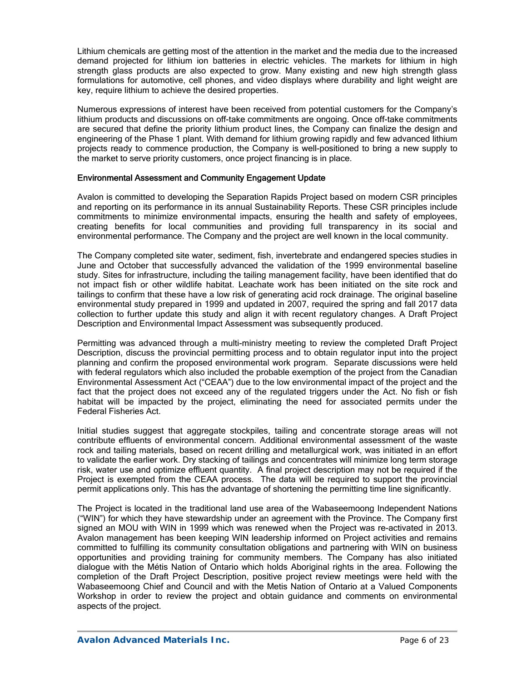Lithium chemicals are getting most of the attention in the market and the media due to the increased demand projected for lithium ion batteries in electric vehicles. The markets for lithium in high strength glass products are also expected to grow. Many existing and new high strength glass formulations for automotive, cell phones, and video displays where durability and light weight are key, require lithium to achieve the desired properties.

Numerous expressions of interest have been received from potential customers for the Company's lithium products and discussions on off-take commitments are ongoing. Once off-take commitments are secured that define the priority lithium product lines, the Company can finalize the design and engineering of the Phase 1 plant. With demand for lithium growing rapidly and few advanced lithium projects ready to commence production, the Company is well-positioned to bring a new supply to the market to serve priority customers, once project financing is in place.

#### Environmental Assessment and Community Engagement Update

Avalon is committed to developing the Separation Rapids Project based on modern CSR principles and reporting on its performance in its annual Sustainability Reports. These CSR principles include commitments to minimize environmental impacts, ensuring the health and safety of employees, creating benefits for local communities and providing full transparency in its social and environmental performance. The Company and the project are well known in the local community.

The Company completed site water, sediment, fish, invertebrate and endangered species studies in June and October that successfully advanced the validation of the 1999 environmental baseline study. Sites for infrastructure, including the tailing management facility, have been identified that do not impact fish or other wildlife habitat. Leachate work has been initiated on the site rock and tailings to confirm that these have a low risk of generating acid rock drainage. The original baseline environmental study prepared in 1999 and updated in 2007, required the spring and fall 2017 data collection to further update this study and align it with recent regulatory changes. A Draft Project Description and Environmental Impact Assessment was subsequently produced.

Permitting was advanced through a multi-ministry meeting to review the completed Draft Project Description, discuss the provincial permitting process and to obtain regulator input into the project planning and confirm the proposed environmental work program. Separate discussions were held with federal regulators which also included the probable exemption of the project from the Canadian Environmental Assessment Act ("CEAA") due to the low environmental impact of the project and the fact that the project does not exceed any of the regulated triggers under the Act. No fish or fish habitat will be impacted by the project, eliminating the need for associated permits under the Federal Fisheries Act.

Initial studies suggest that aggregate stockpiles, tailing and concentrate storage areas will not contribute effluents of environmental concern. Additional environmental assessment of the waste rock and tailing materials, based on recent drilling and metallurgical work, was initiated in an effort to validate the earlier work. Dry stacking of tailings and concentrates will minimize long term storage risk, water use and optimize effluent quantity. A final project description may not be required if the Project is exempted from the CEAA process. The data will be required to support the provincial permit applications only. This has the advantage of shortening the permitting time line significantly.

The Project is located in the traditional land use area of the Wabaseemoong Independent Nations ("WIN") for which they have stewardship under an agreement with the Province. The Company first signed an MOU with WIN in 1999 which was renewed when the Project was re-activated in 2013. Avalon management has been keeping WIN leadership informed on Project activities and remains committed to fulfilling its community consultation obligations and partnering with WIN on business opportunities and providing training for community members. The Company has also initiated dialogue with the Métis Nation of Ontario which holds Aboriginal rights in the area. Following the completion of the Draft Project Description, positive project review meetings were held with the Wabaseemoong Chief and Council and with the Metis Nation of Ontario at a Valued Components Workshop in order to review the project and obtain guidance and comments on environmental aspects of the project.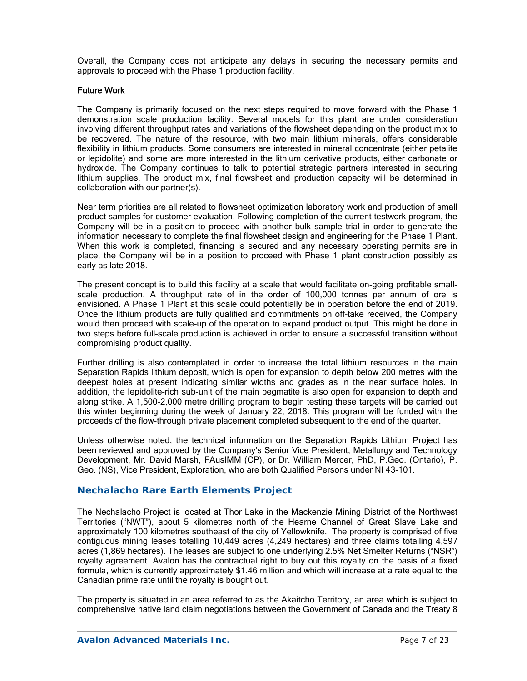Overall, the Company does not anticipate any delays in securing the necessary permits and approvals to proceed with the Phase 1 production facility.

#### Future Work

The Company is primarily focused on the next steps required to move forward with the Phase 1 demonstration scale production facility. Several models for this plant are under consideration involving different throughput rates and variations of the flowsheet depending on the product mix to be recovered. The nature of the resource, with two main lithium minerals, offers considerable flexibility in lithium products. Some consumers are interested in mineral concentrate (either petalite or lepidolite) and some are more interested in the lithium derivative products, either carbonate or hydroxide. The Company continues to talk to potential strategic partners interested in securing lithium supplies. The product mix, final flowsheet and production capacity will be determined in collaboration with our partner(s).

Near term priorities are all related to flowsheet optimization laboratory work and production of small product samples for customer evaluation. Following completion of the current testwork program, the Company will be in a position to proceed with another bulk sample trial in order to generate the information necessary to complete the final flowsheet design and engineering for the Phase 1 Plant. When this work is completed, financing is secured and any necessary operating permits are in place, the Company will be in a position to proceed with Phase 1 plant construction possibly as early as late 2018.

The present concept is to build this facility at a scale that would facilitate on-going profitable smallscale production. A throughput rate of in the order of 100,000 tonnes per annum of ore is envisioned. A Phase 1 Plant at this scale could potentially be in operation before the end of 2019. Once the lithium products are fully qualified and commitments on off-take received, the Company would then proceed with scale-up of the operation to expand product output. This might be done in two steps before full-scale production is achieved in order to ensure a successful transition without compromising product quality.

Further drilling is also contemplated in order to increase the total lithium resources in the main Separation Rapids lithium deposit, which is open for expansion to depth below 200 metres with the deepest holes at present indicating similar widths and grades as in the near surface holes. In addition, the lepidolite-rich sub-unit of the main pegmatite is also open for expansion to depth and along strike. A 1,500-2,000 metre drilling program to begin testing these targets will be carried out this winter beginning during the week of January 22, 2018. This program will be funded with the proceeds of the flow-through private placement completed subsequent to the end of the quarter.

Unless otherwise noted, the technical information on the Separation Rapids Lithium Project has been reviewed and approved by the Company's Senior Vice President, Metallurgy and Technology Development, Mr. David Marsh, FAusIMM (CP), or Dr. William Mercer, PhD, P.Geo. (Ontario), P. Geo. (NS), Vice President, Exploration, who are both Qualified Persons under NI 43-101.

### **Nechalacho Rare Earth Elements Project**

The Nechalacho Project is located at Thor Lake in the Mackenzie Mining District of the Northwest Territories ("NWT"), about 5 kilometres north of the Hearne Channel of Great Slave Lake and approximately 100 kilometres southeast of the city of Yellowknife. The property is comprised of five contiguous mining leases totalling 10,449 acres (4,249 hectares) and three claims totalling 4,597 acres (1,869 hectares). The leases are subject to one underlying 2.5% Net Smelter Returns ("NSR") royalty agreement. Avalon has the contractual right to buy out this royalty on the basis of a fixed formula, which is currently approximately \$1.46 million and which will increase at a rate equal to the Canadian prime rate until the royalty is bought out.

The property is situated in an area referred to as the Akaitcho Territory, an area which is subject to comprehensive native land claim negotiations between the Government of Canada and the Treaty 8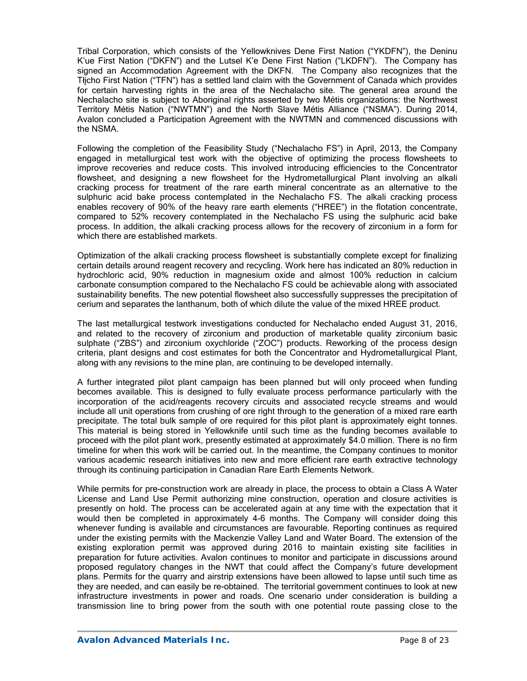Tribal Corporation, which consists of the Yellowknives Dene First Nation ("YKDFN"), the Deninu K'ue First Nation ("DKFN") and the Lutsel K'e Dene First Nation ("LKDFN"). The Company has signed an Accommodation Agreement with the DKFN. The Company also recognizes that the Tłįcho First Nation ("TFN") has a settled land claim with the Government of Canada which provides for certain harvesting rights in the area of the Nechalacho site. The general area around the Nechalacho site is subject to Aboriginal rights asserted by two Métis organizations: the Northwest Territory Métis Nation ("NWTMN") and the North Slave Métis Alliance ("NSMA"). During 2014, Avalon concluded a Participation Agreement with the NWTMN and commenced discussions with the NSMA.

Following the completion of the Feasibility Study ("Nechalacho FS") in April, 2013, the Company engaged in metallurgical test work with the objective of optimizing the process flowsheets to improve recoveries and reduce costs. This involved introducing efficiencies to the Concentrator flowsheet, and designing a new flowsheet for the Hydrometallurgical Plant involving an alkali cracking process for treatment of the rare earth mineral concentrate as an alternative to the sulphuric acid bake process contemplated in the Nechalacho FS. The alkali cracking process enables recovery of 90% of the heavy rare earth elements ("HREE") in the flotation concentrate, compared to 52% recovery contemplated in the Nechalacho FS using the sulphuric acid bake process. In addition, the alkali cracking process allows for the recovery of zirconium in a form for which there are established markets.

Optimization of the alkali cracking process flowsheet is substantially complete except for finalizing certain details around reagent recovery and recycling. Work here has indicated an 80% reduction in hydrochloric acid, 90% reduction in magnesium oxide and almost 100% reduction in calcium carbonate consumption compared to the Nechalacho FS could be achievable along with associated sustainability benefits. The new potential flowsheet also successfully suppresses the precipitation of cerium and separates the lanthanum, both of which dilute the value of the mixed HREE product.

The last metallurgical testwork investigations conducted for Nechalacho ended August 31, 2016, and related to the recovery of zirconium and production of marketable quality zirconium basic sulphate ("ZBS") and zirconium oxychloride ("ZOC") products. Reworking of the process design criteria, plant designs and cost estimates for both the Concentrator and Hydrometallurgical Plant, along with any revisions to the mine plan, are continuing to be developed internally.

A further integrated pilot plant campaign has been planned but will only proceed when funding becomes available. This is designed to fully evaluate process performance particularly with the incorporation of the acid/reagents recovery circuits and associated recycle streams and would include all unit operations from crushing of ore right through to the generation of a mixed rare earth precipitate. The total bulk sample of ore required for this pilot plant is approximately eight tonnes. This material is being stored in Yellowknife until such time as the funding becomes available to proceed with the pilot plant work, presently estimated at approximately \$4.0 million. There is no firm timeline for when this work will be carried out. In the meantime, the Company continues to monitor various academic research initiatives into new and more efficient rare earth extractive technology through its continuing participation in Canadian Rare Earth Elements Network.

While permits for pre-construction work are already in place, the process to obtain a Class A Water License and Land Use Permit authorizing mine construction, operation and closure activities is presently on hold. The process can be accelerated again at any time with the expectation that it would then be completed in approximately 4-6 months. The Company will consider doing this whenever funding is available and circumstances are favourable. Reporting continues as required under the existing permits with the Mackenzie Valley Land and Water Board. The extension of the existing exploration permit was approved during 2016 to maintain existing site facilities in preparation for future activities. Avalon continues to monitor and participate in discussions around proposed regulatory changes in the NWT that could affect the Company's future development plans. Permits for the quarry and airstrip extensions have been allowed to lapse until such time as they are needed, and can easily be re-obtained. The territorial government continues to look at new infrastructure investments in power and roads. One scenario under consideration is building a transmission line to bring power from the south with one potential route passing close to the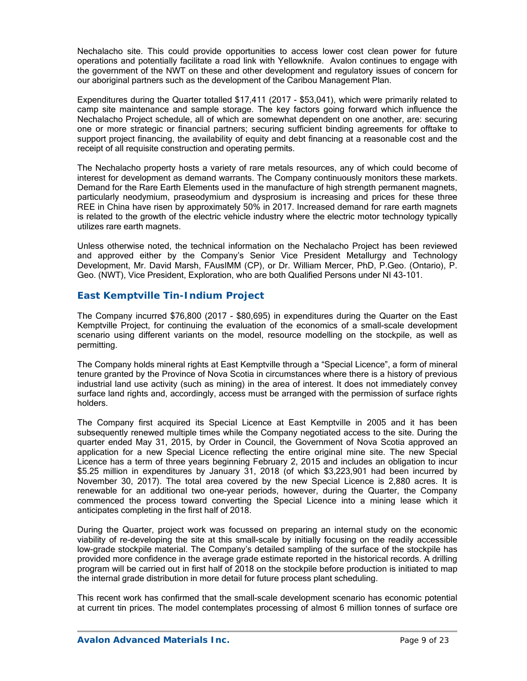Nechalacho site. This could provide opportunities to access lower cost clean power for future operations and potentially facilitate a road link with Yellowknife. Avalon continues to engage with the government of the NWT on these and other development and regulatory issues of concern for our aboriginal partners such as the development of the Caribou Management Plan.

Expenditures during the Quarter totalled \$17,411 (2017 - \$53,041), which were primarily related to camp site maintenance and sample storage. The key factors going forward which influence the Nechalacho Project schedule, all of which are somewhat dependent on one another, are: securing one or more strategic or financial partners; securing sufficient binding agreements for offtake to support project financing, the availability of equity and debt financing at a reasonable cost and the receipt of all requisite construction and operating permits.

The Nechalacho property hosts a variety of rare metals resources, any of which could become of interest for development as demand warrants. The Company continuously monitors these markets. Demand for the Rare Earth Elements used in the manufacture of high strength permanent magnets, particularly neodymium, praseodymium and dysprosium is increasing and prices for these three REE in China have risen by approximately 50% in 2017. Increased demand for rare earth magnets is related to the growth of the electric vehicle industry where the electric motor technology typically utilizes rare earth magnets.

Unless otherwise noted, the technical information on the Nechalacho Project has been reviewed and approved either by the Company's Senior Vice President Metallurgy and Technology Development, Mr. David Marsh, FAusIMM (CP), or Dr. William Mercer, PhD, P.Geo. (Ontario), P. Geo. (NWT), Vice President, Exploration, who are both Qualified Persons under NI 43-101.

### *East Kemptville Tin-Indium Project*

The Company incurred \$76,800 (2017 - \$80,695) in expenditures during the Quarter on the East Kemptville Project, for continuing the evaluation of the economics of a small-scale development scenario using different variants on the model, resource modelling on the stockpile, as well as permitting.

The Company holds mineral rights at East Kemptville through a "Special Licence", a form of mineral tenure granted by the Province of Nova Scotia in circumstances where there is a history of previous industrial land use activity (such as mining) in the area of interest. It does not immediately convey surface land rights and, accordingly, access must be arranged with the permission of surface rights holders.

The Company first acquired its Special Licence at East Kemptville in 2005 and it has been subsequently renewed multiple times while the Company negotiated access to the site. During the quarter ended May 31, 2015, by Order in Council, the Government of Nova Scotia approved an application for a new Special Licence reflecting the entire original mine site. The new Special Licence has a term of three years beginning February 2, 2015 and includes an obligation to incur \$5.25 million in expenditures by January 31, 2018 (of which \$3,223,901 had been incurred by November 30, 2017). The total area covered by the new Special Licence is 2,880 acres. It is renewable for an additional two one-year periods, however, during the Quarter, the Company commenced the process toward converting the Special Licence into a mining lease which it anticipates completing in the first half of 2018.

During the Quarter, project work was focussed on preparing an internal study on the economic viability of re-developing the site at this small-scale by initially focusing on the readily accessible low-grade stockpile material. The Company's detailed sampling of the surface of the stockpile has provided more confidence in the average grade estimate reported in the historical records. A drilling program will be carried out in first half of 2018 on the stockpile before production is initiated to map the internal grade distribution in more detail for future process plant scheduling.

This recent work has confirmed that the small-scale development scenario has economic potential at current tin prices. The model contemplates processing of almost 6 million tonnes of surface ore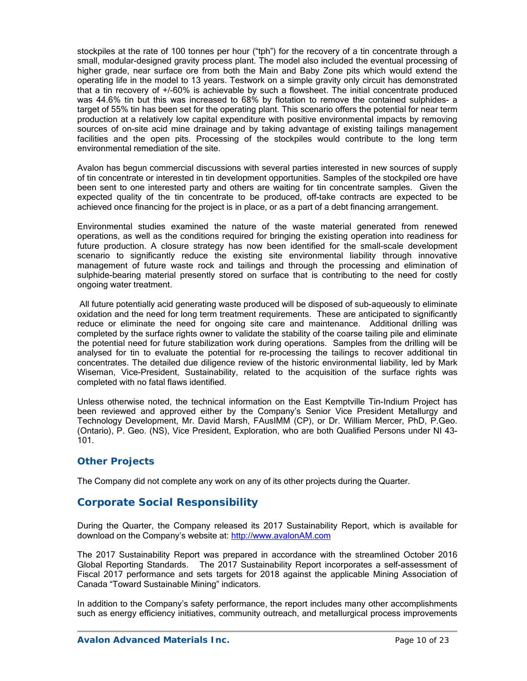stockpiles at the rate of 100 tonnes per hour ("tph") for the recovery of a tin concentrate through a small, modular-designed gravity process plant. The model also included the eventual processing of higher grade, near surface ore from both the Main and Baby Zone pits which would extend the operating life in the model to 13 years. Testwork on a simple gravity only circuit has demonstrated that a tin recovery of +/-60% is achievable by such a flowsheet. The initial concentrate produced was 44.6% tin but this was increased to 68% by flotation to remove the contained sulphides- a target of 55% tin has been set for the operating plant. This scenario offers the potential for near term production at a relatively low capital expenditure with positive environmental impacts by removing sources of on-site acid mine drainage and by taking advantage of existing tailings management facilities and the open pits. Processing of the stockpiles would contribute to the long term environmental remediation of the site.

Avalon has begun commercial discussions with several parties interested in new sources of supply of tin concentrate or interested in tin development opportunities. Samples of the stockpiled ore have been sent to one interested party and others are waiting for tin concentrate samples. Given the expected quality of the tin concentrate to be produced, off-take contracts are expected to be achieved once financing for the project is in place, or as a part of a debt financing arrangement.

Environmental studies examined the nature of the waste material generated from renewed operations, as well as the conditions required for bringing the existing operation into readiness for future production. A closure strategy has now been identified for the small-scale development scenario to significantly reduce the existing site environmental liability through innovative management of future waste rock and tailings and through the processing and elimination of sulphide-bearing material presently stored on surface that is contributing to the need for costly ongoing water treatment.

 All future potentially acid generating waste produced will be disposed of sub-aqueously to eliminate oxidation and the need for long term treatment requirements. These are anticipated to significantly reduce or eliminate the need for ongoing site care and maintenance. Additional drilling was completed by the surface rights owner to validate the stability of the coarse tailing pile and eliminate the potential need for future stabilization work during operations. Samples from the drilling will be analysed for tin to evaluate the potential for re-processing the tailings to recover additional tin concentrates. The detailed due diligence review of the historic environmental liability, led by Mark Wiseman, Vice-President, Sustainability, related to the acquisition of the surface rights was completed with no fatal flaws identified.

Unless otherwise noted, the technical information on the East Kemptville Tin-Indium Project has been reviewed and approved either by the Company's Senior Vice President Metallurgy and Technology Development, Mr. David Marsh, FAusIMM (CP), or Dr. William Mercer, PhD, P.Geo. (Ontario), P. Geo. (NS), Vice President, Exploration, who are both Qualified Persons under NI 43- 101.

### *Other Projects*

The Company did not complete any work on any of its other projects during the Quarter.

# **Corporate Social Responsibility**

During the Quarter, the Company released its 2017 Sustainability Report, which is available for download on the Company's website at: http://www.avalonAM.com

The 2017 Sustainability Report was prepared in accordance with the streamlined October 2016 Global Reporting Standards. The 2017 Sustainability Report incorporates a self-assessment of Fiscal 2017 performance and sets targets for 2018 against the applicable Mining Association of Canada "Toward Sustainable Mining" indicators.

In addition to the Company's safety performance, the report includes many other accomplishments such as energy efficiency initiatives, community outreach, and metallurgical process improvements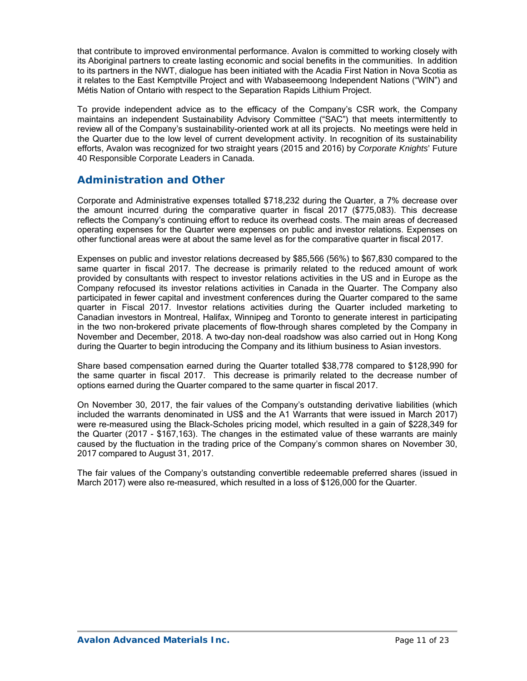that contribute to improved environmental performance. Avalon is committed to working closely with its Aboriginal partners to create lasting economic and social benefits in the communities. In addition to its partners in the NWT, dialogue has been initiated with the Acadia First Nation in Nova Scotia as it relates to the East Kemptville Project and with Wabaseemoong Independent Nations ("WIN") and Métis Nation of Ontario with respect to the Separation Rapids Lithium Project.

To provide independent advice as to the efficacy of the Company's CSR work, the Company maintains an independent Sustainability Advisory Committee ("SAC") that meets intermittently to review all of the Company's sustainability-oriented work at all its projects. No meetings were held in the Quarter due to the low level of current development activity. In recognition of its sustainability efforts, Avalon was recognized for two straight years (2015 and 2016) by *Corporate Knights*' Future 40 Responsible Corporate Leaders in Canada.

# **Administration and Other**

Corporate and Administrative expenses totalled \$718,232 during the Quarter, a 7% decrease over the amount incurred during the comparative quarter in fiscal 2017 (\$775,083). This decrease reflects the Company's continuing effort to reduce its overhead costs. The main areas of decreased operating expenses for the Quarter were expenses on public and investor relations. Expenses on other functional areas were at about the same level as for the comparative quarter in fiscal 2017.

Expenses on public and investor relations decreased by \$85,566 (56%) to \$67,830 compared to the same quarter in fiscal 2017. The decrease is primarily related to the reduced amount of work provided by consultants with respect to investor relations activities in the US and in Europe as the Company refocused its investor relations activities in Canada in the Quarter. The Company also participated in fewer capital and investment conferences during the Quarter compared to the same quarter in Fiscal 2017. Investor relations activities during the Quarter included marketing to Canadian investors in Montreal, Halifax, Winnipeg and Toronto to generate interest in participating in the two non-brokered private placements of flow-through shares completed by the Company in November and December, 2018. A two-day non-deal roadshow was also carried out in Hong Kong during the Quarter to begin introducing the Company and its lithium business to Asian investors.

Share based compensation earned during the Quarter totalled \$38,778 compared to \$128,990 for the same quarter in fiscal 2017. This decrease is primarily related to the decrease number of options earned during the Quarter compared to the same quarter in fiscal 2017.

On November 30, 2017, the fair values of the Company's outstanding derivative liabilities (which included the warrants denominated in US\$ and the A1 Warrants that were issued in March 2017) were re-measured using the Black-Scholes pricing model, which resulted in a gain of \$228,349 for the Quarter (2017 - \$167,163). The changes in the estimated value of these warrants are mainly caused by the fluctuation in the trading price of the Company's common shares on November 30, 2017 compared to August 31, 2017.

The fair values of the Company's outstanding convertible redeemable preferred shares (issued in March 2017) were also re-measured, which resulted in a loss of \$126,000 for the Quarter.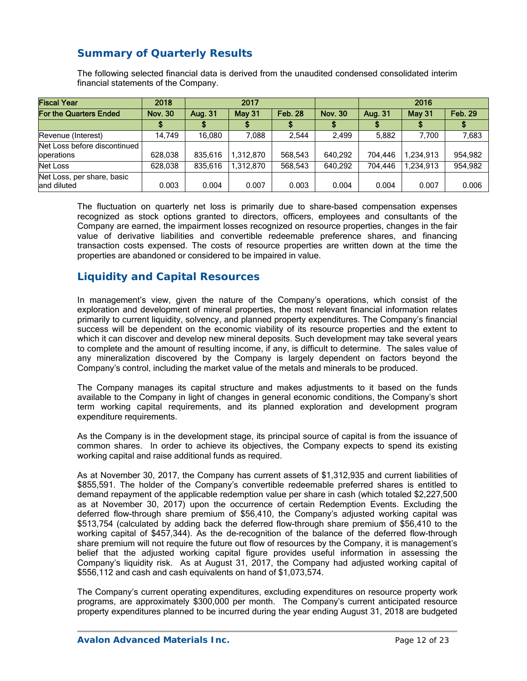# **Summary of Quarterly Results**

The following selected financial data is derived from the unaudited condensed consolidated interim financial statements of the Company.

| <b>Fiscal Year</b>                         | 2018           | 2017    |               |                |                | 2016    |           |                |  |
|--------------------------------------------|----------------|---------|---------------|----------------|----------------|---------|-----------|----------------|--|
| <b>For the Quarters Ended</b>              | <b>Nov. 30</b> | Aug. 31 | <b>May 31</b> | <b>Feb. 28</b> | <b>Nov. 30</b> | Aug. 31 | May 31    | <b>Feb. 29</b> |  |
|                                            |                |         |               |                |                |         |           |                |  |
| Revenue (Interest)                         | 14.749         | 16.080  | 7.088         | 2.544          | 2.499          | 5.882   | 7.700     | 7,683          |  |
| Net Loss before discontinued<br>operations | 628,038        | 835.616 | 1,312,870     | 568.543        | 640.292        | 704.446 | 1,234,913 | 954.982        |  |
| Net Loss                                   | 628,038        | 835.616 | 1.312.870     | 568.543        | 640.292        | 704.446 | 1,234,913 | 954,982        |  |
| Net Loss, per share, basic<br>land diluted | 0.003          | 0.004   | 0.007         | 0.003          | 0.004          | 0.004   | 0.007     | 0.006          |  |

The fluctuation on quarterly net loss is primarily due to share-based compensation expenses recognized as stock options granted to directors, officers, employees and consultants of the Company are earned, the impairment losses recognized on resource properties, changes in the fair value of derivative liabilities and convertible redeemable preference shares, and financing transaction costs expensed. The costs of resource properties are written down at the time the properties are abandoned or considered to be impaired in value.

## **Liquidity and Capital Resources**

In management's view, given the nature of the Company's operations, which consist of the exploration and development of mineral properties, the most relevant financial information relates primarily to current liquidity, solvency, and planned property expenditures. The Company's financial success will be dependent on the economic viability of its resource properties and the extent to which it can discover and develop new mineral deposits. Such development may take several years to complete and the amount of resulting income, if any, is difficult to determine. The sales value of any mineralization discovered by the Company is largely dependent on factors beyond the Company's control, including the market value of the metals and minerals to be produced.

The Company manages its capital structure and makes adjustments to it based on the funds available to the Company in light of changes in general economic conditions, the Company's short term working capital requirements, and its planned exploration and development program expenditure requirements.

As the Company is in the development stage, its principal source of capital is from the issuance of common shares. In order to achieve its objectives, the Company expects to spend its existing working capital and raise additional funds as required.

As at November 30, 2017, the Company has current assets of \$1,312,935 and current liabilities of \$855,591. The holder of the Company's convertible redeemable preferred shares is entitled to demand repayment of the applicable redemption value per share in cash (which totaled \$2,227,500 as at November 30, 2017) upon the occurrence of certain Redemption Events. Excluding the deferred flow-through share premium of \$56,410, the Company's adjusted working capital was \$513,754 (calculated by adding back the deferred flow-through share premium of \$56,410 to the working capital of \$457,344). As the de-recognition of the balance of the deferred flow-through share premium will not require the future out flow of resources by the Company, it is management's belief that the adjusted working capital figure provides useful information in assessing the Company's liquidity risk. As at August 31, 2017, the Company had adjusted working capital of \$556,112 and cash and cash equivalents on hand of \$1,073,574.

The Company's current operating expenditures, excluding expenditures on resource property work programs, are approximately \$300,000 per month. The Company's current anticipated resource property expenditures planned to be incurred during the year ending August 31, 2018 are budgeted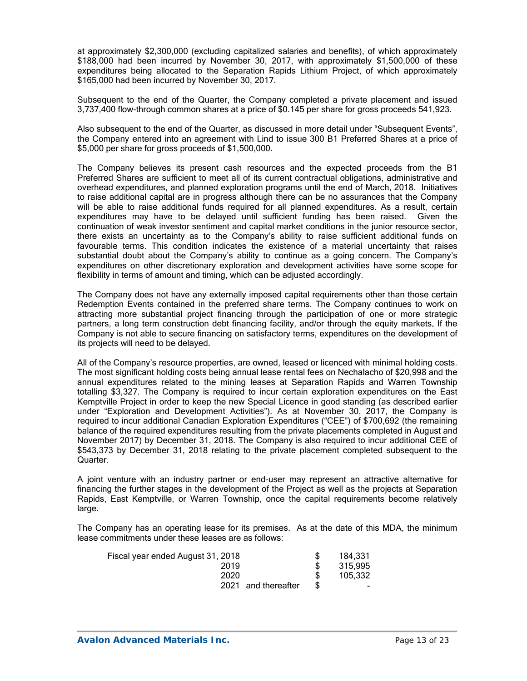at approximately \$2,300,000 (excluding capitalized salaries and benefits), of which approximately \$188,000 had been incurred by November 30, 2017, with approximately \$1,500,000 of these expenditures being allocated to the Separation Rapids Lithium Project, of which approximately \$165,000 had been incurred by November 30, 2017.

Subsequent to the end of the Quarter, the Company completed a private placement and issued 3,737,400 flow-through common shares at a price of \$0.145 per share for gross proceeds 541,923.

Also subsequent to the end of the Quarter, as discussed in more detail under "Subsequent Events", the Company entered into an agreement with Lind to issue 300 B1 Preferred Shares at a price of \$5,000 per share for gross proceeds of \$1,500,000.

The Company believes its present cash resources and the expected proceeds from the B1 Preferred Shares are sufficient to meet all of its current contractual obligations, administrative and overhead expenditures, and planned exploration programs until the end of March, 2018. Initiatives to raise additional capital are in progress although there can be no assurances that the Company will be able to raise additional funds required for all planned expenditures. As a result, certain expenditures may have to be delayed until sufficient funding has been raised. Given the continuation of weak investor sentiment and capital market conditions in the junior resource sector, there exists an uncertainty as to the Company's ability to raise sufficient additional funds on favourable terms. This condition indicates the existence of a material uncertainty that raises substantial doubt about the Company's ability to continue as a going concern. The Company's expenditures on other discretionary exploration and development activities have some scope for flexibility in terms of amount and timing, which can be adjusted accordingly.

The Company does not have any externally imposed capital requirements other than those certain Redemption Events contained in the preferred share terms. The Company continues to work on attracting more substantial project financing through the participation of one or more strategic partners, a long term construction debt financing facility, and/or through the equity markets. If the Company is not able to secure financing on satisfactory terms, expenditures on the development of its projects will need to be delayed.

All of the Company's resource properties, are owned, leased or licenced with minimal holding costs. The most significant holding costs being annual lease rental fees on Nechalacho of \$20,998 and the annual expenditures related to the mining leases at Separation Rapids and Warren Township totalling \$3,327. The Company is required to incur certain exploration expenditures on the East Kemptville Project in order to keep the new Special Licence in good standing (as described earlier under "Exploration and Development Activities"). As at November 30, 2017, the Company is required to incur additional Canadian Exploration Expenditures ("CEE") of \$700,692 (the remaining balance of the required expenditures resulting from the private placements completed in August and November 2017) by December 31, 2018. The Company is also required to incur additional CEE of \$543,373 by December 31, 2018 relating to the private placement completed subsequent to the Quarter.

A joint venture with an industry partner or end-user may represent an attractive alternative for financing the further stages in the development of the Project as well as the projects at Separation Rapids, East Kemptville, or Warren Township, once the capital requirements become relatively large.

The Company has an operating lease for its premises. As at the date of this MDA, the minimum lease commitments under these leases are as follows:

| Fiscal year ended August 31, 2018 | 184,331        |
|-----------------------------------|----------------|
| 2019                              | 315,995        |
| 2020                              | 105,332        |
| 2021 and thereafter               | $\blacksquare$ |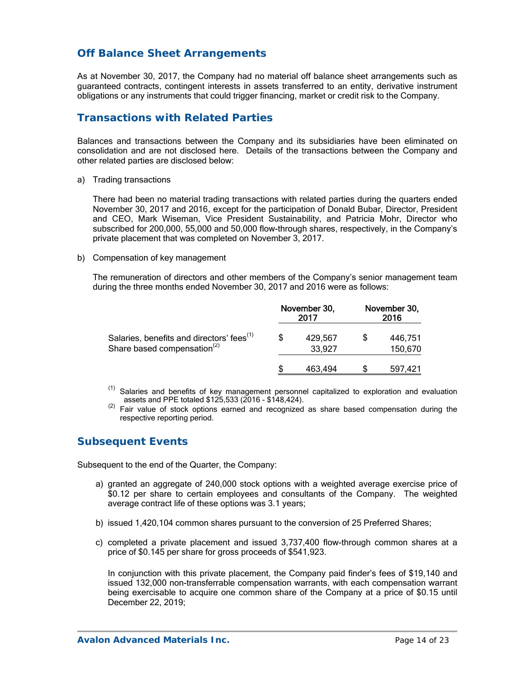# **Off Balance Sheet Arrangements**

As at November 30, 2017, the Company had no material off balance sheet arrangements such as guaranteed contracts, contingent interests in assets transferred to an entity, derivative instrument obligations or any instruments that could trigger financing, market or credit risk to the Company.

# **Transactions with Related Parties**

Balances and transactions between the Company and its subsidiaries have been eliminated on consolidation and are not disclosed here. Details of the transactions between the Company and other related parties are disclosed below:

a) Trading transactions

There had been no material trading transactions with related parties during the quarters ended November 30, 2017 and 2016, except for the participation of Donald Bubar, Director, President and CEO, Mark Wiseman, Vice President Sustainability, and Patricia Mohr, Director who subscribed for 200,000, 55,000 and 50,000 flow-through shares, respectively, in the Company's private placement that was completed on November 3, 2017.

#### b) Compensation of key management

The remuneration of directors and other members of the Company's senior management team during the three months ended November 30, 2017 and 2016 were as follows:

|                                                                                                  | November 30,<br>2017 | November 30,<br>2016 |                    |  |
|--------------------------------------------------------------------------------------------------|----------------------|----------------------|--------------------|--|
| Salaries, benefits and directors' fees <sup>(1)</sup><br>Share based compensation <sup>(2)</sup> | 429,567<br>33,927    |                      | 446.751<br>150,670 |  |
|                                                                                                  | 463.494              |                      | 597,421            |  |

- <sup>(1)</sup> Salaries and benefits of key management personnel capitalized to exploration and evaluation<br>assets and PPE totaled \$125,533 (2016 \$148,424).
- Fair value of stock options earned and recognized as share based compensation during the respective reporting period.

## **Subsequent Events**

Subsequent to the end of the Quarter, the Company:

- a) granted an aggregate of 240,000 stock options with a weighted average exercise price of \$0.12 per share to certain employees and consultants of the Company. The weighted average contract life of these options was 3.1 years;
- b) issued 1,420,104 common shares pursuant to the conversion of 25 Preferred Shares;
- c) completed a private placement and issued 3,737,400 flow-through common shares at a price of \$0.145 per share for gross proceeds of \$541,923.

 In conjunction with this private placement, the Company paid finder's fees of \$19,140 and issued 132,000 non-transferrable compensation warrants, with each compensation warrant being exercisable to acquire one common share of the Company at a price of \$0.15 until December 22, 2019;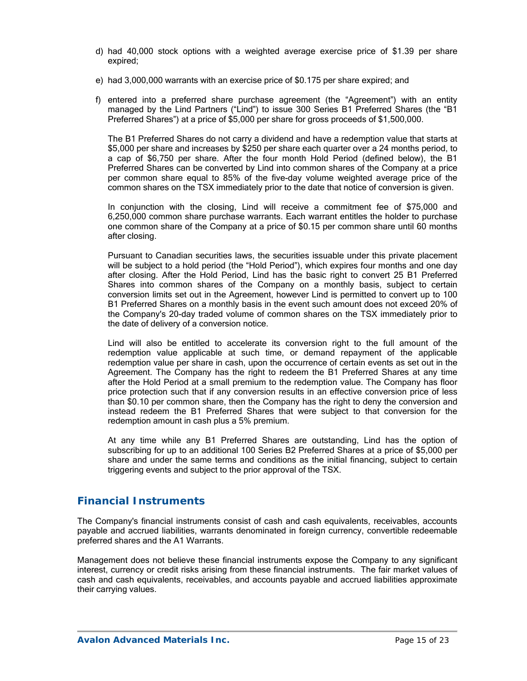- d) had 40,000 stock options with a weighted average exercise price of \$1.39 per share expired;
- e) had 3,000,000 warrants with an exercise price of \$0.175 per share expired; and
- f) entered into a preferred share purchase agreement (the "Agreement") with an entity managed by the Lind Partners ("Lind") to issue 300 Series B1 Preferred Shares (the "B1 Preferred Shares") at a price of \$5,000 per share for gross proceeds of \$1,500,000.

The B1 Preferred Shares do not carry a dividend and have a redemption value that starts at \$5,000 per share and increases by \$250 per share each quarter over a 24 months period, to a cap of \$6,750 per share. After the four month Hold Period (defined below), the B1 Preferred Shares can be converted by Lind into common shares of the Company at a price per common share equal to 85% of the five-day volume weighted average price of the common shares on the TSX immediately prior to the date that notice of conversion is given.

In conjunction with the closing, Lind will receive a commitment fee of \$75,000 and 6,250,000 common share purchase warrants. Each warrant entitles the holder to purchase one common share of the Company at a price of \$0.15 per common share until 60 months after closing.

Pursuant to Canadian securities laws, the securities issuable under this private placement will be subject to a hold period (the "Hold Period"), which expires four months and one day after closing. After the Hold Period, Lind has the basic right to convert 25 B1 Preferred Shares into common shares of the Company on a monthly basis, subject to certain conversion limits set out in the Agreement, however Lind is permitted to convert up to 100 B1 Preferred Shares on a monthly basis in the event such amount does not exceed 20% of the Company's 20-day traded volume of common shares on the TSX immediately prior to the date of delivery of a conversion notice.

Lind will also be entitled to accelerate its conversion right to the full amount of the redemption value applicable at such time, or demand repayment of the applicable redemption value per share in cash, upon the occurrence of certain events as set out in the Agreement. The Company has the right to redeem the B1 Preferred Shares at any time after the Hold Period at a small premium to the redemption value. The Company has floor price protection such that if any conversion results in an effective conversion price of less than \$0.10 per common share, then the Company has the right to deny the conversion and instead redeem the B1 Preferred Shares that were subject to that conversion for the redemption amount in cash plus a 5% premium.

At any time while any B1 Preferred Shares are outstanding, Lind has the option of subscribing for up to an additional 100 Series B2 Preferred Shares at a price of \$5,000 per share and under the same terms and conditions as the initial financing, subject to certain triggering events and subject to the prior approval of the TSX.

### **Financial Instruments**

The Company's financial instruments consist of cash and cash equivalents, receivables, accounts payable and accrued liabilities, warrants denominated in foreign currency, convertible redeemable preferred shares and the A1 Warrants.

Management does not believe these financial instruments expose the Company to any significant interest, currency or credit risks arising from these financial instruments. The fair market values of cash and cash equivalents, receivables, and accounts payable and accrued liabilities approximate their carrying values.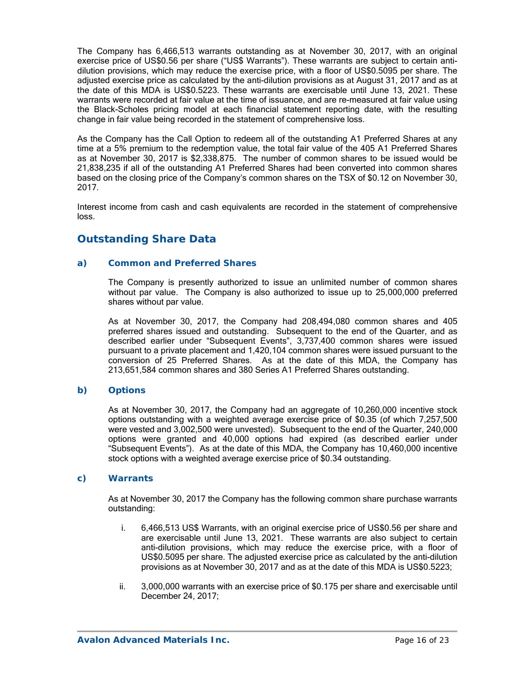The Company has 6,466,513 warrants outstanding as at November 30, 2017, with an original exercise price of US\$0.56 per share ("US\$ Warrants"). These warrants are subject to certain antidilution provisions, which may reduce the exercise price, with a floor of US\$0.5095 per share. The adjusted exercise price as calculated by the anti-dilution provisions as at August 31, 2017 and as at the date of this MDA is US\$0.5223. These warrants are exercisable until June 13, 2021. These warrants were recorded at fair value at the time of issuance, and are re-measured at fair value using the Black-Scholes pricing model at each financial statement reporting date, with the resulting change in fair value being recorded in the statement of comprehensive loss.

As the Company has the Call Option to redeem all of the outstanding A1 Preferred Shares at any time at a 5% premium to the redemption value, the total fair value of the 405 A1 Preferred Shares as at November 30, 2017 is \$2,338,875. The number of common shares to be issued would be 21,838,235 if all of the outstanding A1 Preferred Shares had been converted into common shares based on the closing price of the Company's common shares on the TSX of \$0.12 on November 30, 2017.

Interest income from cash and cash equivalents are recorded in the statement of comprehensive loss.

# **Outstanding Share Data**

#### *a) Common and Preferred Shares*

The Company is presently authorized to issue an unlimited number of common shares without par value. The Company is also authorized to issue up to 25,000,000 preferred shares without par value.

As at November 30, 2017, the Company had 208,494,080 common shares and 405 preferred shares issued and outstanding. Subsequent to the end of the Quarter, and as described earlier under "Subsequent Events", 3,737,400 common shares were issued pursuant to a private placement and 1,420,104 common shares were issued pursuant to the conversion of 25 Preferred Shares. As at the date of this MDA, the Company has 213,651,584 common shares and 380 Series A1 Preferred Shares outstanding.

#### *b) Options*

As at November 30, 2017, the Company had an aggregate of 10,260,000 incentive stock options outstanding with a weighted average exercise price of \$0.35 (of which 7,257,500 were vested and 3,002,500 were unvested). Subsequent to the end of the Quarter, 240,000 options were granted and 40,000 options had expired (as described earlier under "Subsequent Events"). As at the date of this MDA, the Company has 10,460,000 incentive stock options with a weighted average exercise price of \$0.34 outstanding.

#### *c) Warrants*

As at November 30, 2017 the Company has the following common share purchase warrants outstanding:

- i. 6,466,513 US\$ Warrants, with an original exercise price of US\$0.56 per share and are exercisable until June 13, 2021. These warrants are also subject to certain anti-dilution provisions, which may reduce the exercise price, with a floor of US\$0.5095 per share. The adjusted exercise price as calculated by the anti-dilution provisions as at November 30, 2017 and as at the date of this MDA is US\$0.5223;
- ii. 3,000,000 warrants with an exercise price of \$0.175 per share and exercisable until December 24, 2017;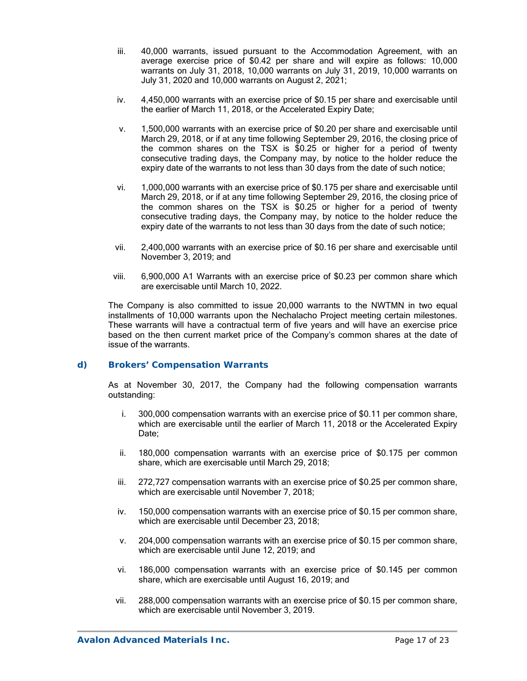- iii. 40,000 warrants, issued pursuant to the Accommodation Agreement, with an average exercise price of \$0.42 per share and will expire as follows: 10,000 warrants on July 31, 2018, 10,000 warrants on July 31, 2019, 10,000 warrants on July 31, 2020 and 10,000 warrants on August 2, 2021;
- iv. 4,450,000 warrants with an exercise price of \$0.15 per share and exercisable until the earlier of March 11, 2018, or the Accelerated Expiry Date;
- v. 1,500,000 warrants with an exercise price of \$0.20 per share and exercisable until March 29, 2018, or if at any time following September 29, 2016, the closing price of the common shares on the TSX is \$0.25 or higher for a period of twenty consecutive trading days, the Company may, by notice to the holder reduce the expiry date of the warrants to not less than 30 days from the date of such notice;
- vi. 1,000,000 warrants with an exercise price of \$0.175 per share and exercisable until March 29, 2018, or if at any time following September 29, 2016, the closing price of the common shares on the TSX is \$0.25 or higher for a period of twenty consecutive trading days, the Company may, by notice to the holder reduce the expiry date of the warrants to not less than 30 days from the date of such notice;
- vii. 2,400,000 warrants with an exercise price of \$0.16 per share and exercisable until November 3, 2019; and
- viii. 6,900,000 A1 Warrants with an exercise price of \$0.23 per common share which are exercisable until March 10, 2022.

The Company is also committed to issue 20,000 warrants to the NWTMN in two equal installments of 10,000 warrants upon the Nechalacho Project meeting certain milestones. These warrants will have a contractual term of five years and will have an exercise price based on the then current market price of the Company's common shares at the date of issue of the warrants.

#### *d) Brokers' Compensation Warrants*

As at November 30, 2017, the Company had the following compensation warrants outstanding:

- i. 300,000 compensation warrants with an exercise price of \$0.11 per common share, which are exercisable until the earlier of March 11, 2018 or the Accelerated Expiry Date:
- ii. 180,000 compensation warrants with an exercise price of \$0.175 per common share, which are exercisable until March 29, 2018;
- iii. 272,727 compensation warrants with an exercise price of \$0.25 per common share, which are exercisable until November 7, 2018;
- iv. 150,000 compensation warrants with an exercise price of \$0.15 per common share, which are exercisable until December 23, 2018;
- v. 204,000 compensation warrants with an exercise price of \$0.15 per common share, which are exercisable until June 12, 2019; and
- vi. 186,000 compensation warrants with an exercise price of \$0.145 per common share, which are exercisable until August 16, 2019; and
- vii. 288,000 compensation warrants with an exercise price of \$0.15 per common share, which are exercisable until November 3, 2019.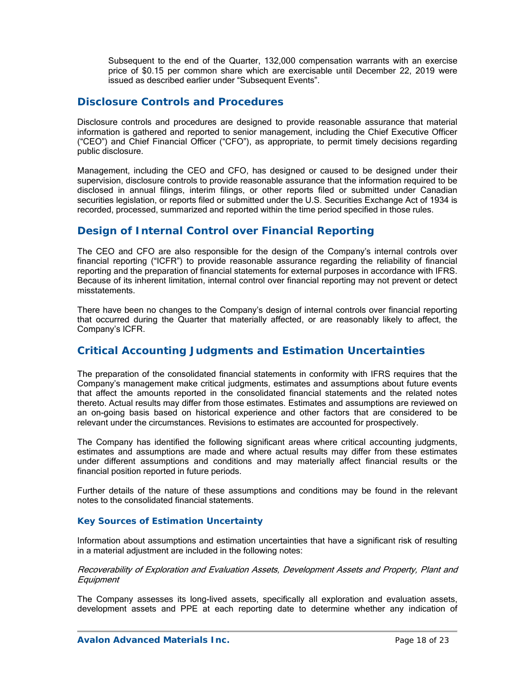Subsequent to the end of the Quarter, 132,000 compensation warrants with an exercise price of \$0.15 per common share which are exercisable until December 22, 2019 were issued as described earlier under "Subsequent Events".

### **Disclosure Controls and Procedures**

Disclosure controls and procedures are designed to provide reasonable assurance that material information is gathered and reported to senior management, including the Chief Executive Officer ("CEO") and Chief Financial Officer ("CFO"), as appropriate, to permit timely decisions regarding public disclosure.

Management, including the CEO and CFO, has designed or caused to be designed under their supervision, disclosure controls to provide reasonable assurance that the information required to be disclosed in annual filings, interim filings, or other reports filed or submitted under Canadian securities legislation, or reports filed or submitted under the U.S. Securities Exchange Act of 1934 is recorded, processed, summarized and reported within the time period specified in those rules.

# **Design of Internal Control over Financial Reporting**

The CEO and CFO are also responsible for the design of the Company's internal controls over financial reporting ("ICFR") to provide reasonable assurance regarding the reliability of financial reporting and the preparation of financial statements for external purposes in accordance with IFRS. Because of its inherent limitation, internal control over financial reporting may not prevent or detect misstatements.

There have been no changes to the Company's design of internal controls over financial reporting that occurred during the Quarter that materially affected, or are reasonably likely to affect, the Company's ICFR.

## **Critical Accounting Judgments and Estimation Uncertainties**

The preparation of the consolidated financial statements in conformity with IFRS requires that the Company's management make critical judgments, estimates and assumptions about future events that affect the amounts reported in the consolidated financial statements and the related notes thereto. Actual results may differ from those estimates. Estimates and assumptions are reviewed on an on-going basis based on historical experience and other factors that are considered to be relevant under the circumstances. Revisions to estimates are accounted for prospectively.

The Company has identified the following significant areas where critical accounting judgments, estimates and assumptions are made and where actual results may differ from these estimates under different assumptions and conditions and may materially affect financial results or the financial position reported in future periods.

Further details of the nature of these assumptions and conditions may be found in the relevant notes to the consolidated financial statements.

#### *Key Sources of Estimation Uncertainty*

Information about assumptions and estimation uncertainties that have a significant risk of resulting in a material adjustment are included in the following notes:

Recoverability of Exploration and Evaluation Assets, Development Assets and Property, Plant and **Equipment** 

The Company assesses its long-lived assets, specifically all exploration and evaluation assets, development assets and PPE at each reporting date to determine whether any indication of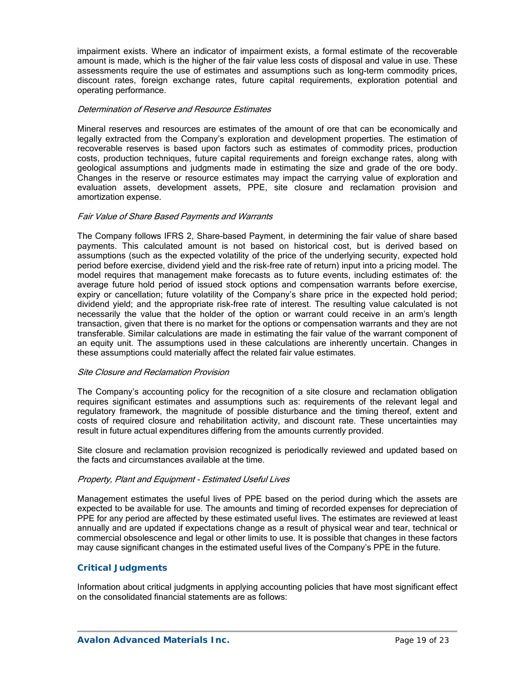impairment exists. Where an indicator of impairment exists, a formal estimate of the recoverable amount is made, which is the higher of the fair value less costs of disposal and value in use. These assessments require the use of estimates and assumptions such as long-term commodity prices, discount rates, foreign exchange rates, future capital requirements, exploration potential and operating performance.

#### Determination of Reserve and Resource Estimates

Mineral reserves and resources are estimates of the amount of ore that can be economically and legally extracted from the Company's exploration and development properties. The estimation of recoverable reserves is based upon factors such as estimates of commodity prices, production costs, production techniques, future capital requirements and foreign exchange rates, along with geological assumptions and judgments made in estimating the size and grade of the ore body. Changes in the reserve or resource estimates may impact the carrying value of exploration and evaluation assets, development assets, PPE, site closure and reclamation provision and amortization expense.

#### Fair Value of Share Based Payments and Warrants

The Company follows IFRS 2, Share-based Payment, in determining the fair value of share based payments. This calculated amount is not based on historical cost, but is derived based on assumptions (such as the expected volatility of the price of the underlying security, expected hold period before exercise, dividend yield and the risk-free rate of return) input into a pricing model. The model requires that management make forecasts as to future events, including estimates of: the average future hold period of issued stock options and compensation warrants before exercise, expiry or cancellation; future volatility of the Company's share price in the expected hold period; dividend yield; and the appropriate risk-free rate of interest. The resulting value calculated is not necessarily the value that the holder of the option or warrant could receive in an arm's length transaction, given that there is no market for the options or compensation warrants and they are not transferable. Similar calculations are made in estimating the fair value of the warrant component of an equity unit. The assumptions used in these calculations are inherently uncertain. Changes in these assumptions could materially affect the related fair value estimates.

#### Site Closure and Reclamation Provision

The Company's accounting policy for the recognition of a site closure and reclamation obligation requires significant estimates and assumptions such as: requirements of the relevant legal and regulatory framework, the magnitude of possible disturbance and the timing thereof, extent and costs of required closure and rehabilitation activity, and discount rate. These uncertainties may result in future actual expenditures differing from the amounts currently provided.

Site closure and reclamation provision recognized is periodically reviewed and updated based on the facts and circumstances available at the time.

#### Property, Plant and Equipment - Estimated Useful Lives

Management estimates the useful lives of PPE based on the period during which the assets are expected to be available for use. The amounts and timing of recorded expenses for depreciation of PPE for any period are affected by these estimated useful lives. The estimates are reviewed at least annually and are updated if expectations change as a result of physical wear and tear, technical or commercial obsolescence and legal or other limits to use. It is possible that changes in these factors may cause significant changes in the estimated useful lives of the Company's PPE in the future.

#### *Critical Judgments*

Information about critical judgments in applying accounting policies that have most significant effect on the consolidated financial statements are as follows: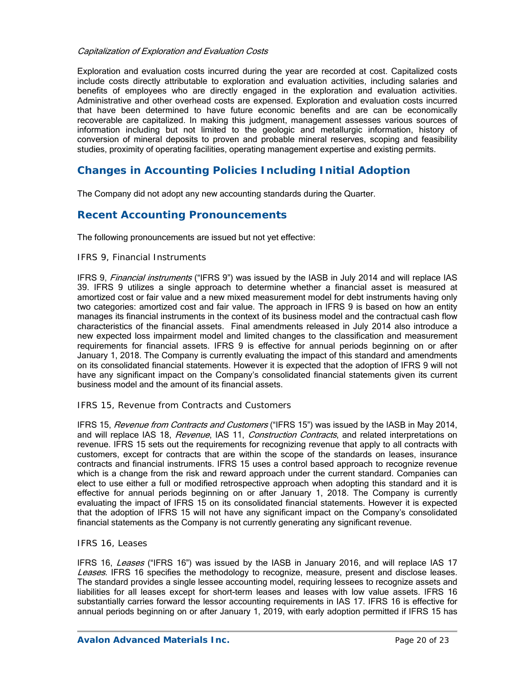#### Capitalization of Exploration and Evaluation Costs

Exploration and evaluation costs incurred during the year are recorded at cost. Capitalized costs include costs directly attributable to exploration and evaluation activities, including salaries and benefits of employees who are directly engaged in the exploration and evaluation activities. Administrative and other overhead costs are expensed. Exploration and evaluation costs incurred that have been determined to have future economic benefits and are can be economically recoverable are capitalized. In making this judgment, management assesses various sources of information including but not limited to the geologic and metallurgic information, history of conversion of mineral deposits to proven and probable mineral reserves, scoping and feasibility studies, proximity of operating facilities, operating management expertise and existing permits.

# **Changes in Accounting Policies Including Initial Adoption**

The Company did not adopt any new accounting standards during the Quarter.

## **Recent Accounting Pronouncements**

The following pronouncements are issued but not yet effective:

#### *IFRS 9, Financial Instruments*

IFRS 9, Financial instruments ("IFRS 9") was issued by the IASB in July 2014 and will replace IAS 39. IFRS 9 utilizes a single approach to determine whether a financial asset is measured at amortized cost or fair value and a new mixed measurement model for debt instruments having only two categories: amortized cost and fair value. The approach in IFRS 9 is based on how an entity manages its financial instruments in the context of its business model and the contractual cash flow characteristics of the financial assets. Final amendments released in July 2014 also introduce a new expected loss impairment model and limited changes to the classification and measurement requirements for financial assets. IFRS 9 is effective for annual periods beginning on or after January 1, 2018. The Company is currently evaluating the impact of this standard and amendments on its consolidated financial statements. However it is expected that the adoption of IFRS 9 will not have any significant impact on the Company's consolidated financial statements given its current business model and the amount of its financial assets.

#### *IFRS 15, Revenue from Contracts and Customers*

IFRS 15, Revenue from Contracts and Customers ("IFRS 15") was issued by the IASB in May 2014, and will replace IAS 18, Revenue, IAS 11, Construction Contracts, and related interpretations on revenue. IFRS 15 sets out the requirements for recognizing revenue that apply to all contracts with customers, except for contracts that are within the scope of the standards on leases, insurance contracts and financial instruments. IFRS 15 uses a control based approach to recognize revenue which is a change from the risk and reward approach under the current standard. Companies can elect to use either a full or modified retrospective approach when adopting this standard and it is effective for annual periods beginning on or after January 1, 2018. The Company is currently evaluating the impact of IFRS 15 on its consolidated financial statements. However it is expected that the adoption of IFRS 15 will not have any significant impact on the Company's consolidated financial statements as the Company is not currently generating any significant revenue.

#### *IFRS 16, Leases*

IFRS 16, Leases ("IFRS 16") was issued by the IASB in January 2016, and will replace IAS 17 Leases. IFRS 16 specifies the methodology to recognize, measure, present and disclose leases. The standard provides a single lessee accounting model, requiring lessees to recognize assets and liabilities for all leases except for short-term leases and leases with low value assets. IFRS 16 substantially carries forward the lessor accounting requirements in IAS 17. IFRS 16 is effective for annual periods beginning on or after January 1, 2019, with early adoption permitted if IFRS 15 has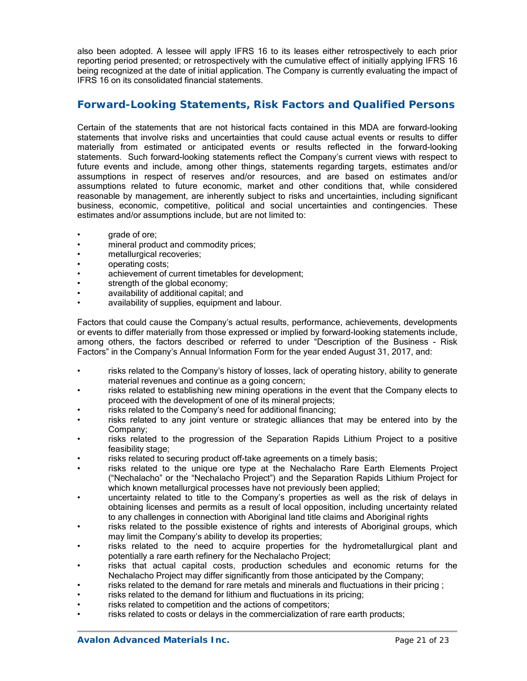also been adopted. A lessee will apply IFRS 16 to its leases either retrospectively to each prior reporting period presented; or retrospectively with the cumulative effect of initially applying IFRS 16 being recognized at the date of initial application. The Company is currently evaluating the impact of IFRS 16 on its consolidated financial statements.

# **Forward-Looking Statements, Risk Factors and Qualified Persons**

Certain of the statements that are not historical facts contained in this MDA are forward-looking statements that involve risks and uncertainties that could cause actual events or results to differ materially from estimated or anticipated events or results reflected in the forward-looking statements. Such forward-looking statements reflect the Company's current views with respect to future events and include, among other things, statements regarding targets, estimates and/or assumptions in respect of reserves and/or resources, and are based on estimates and/or assumptions related to future economic, market and other conditions that, while considered reasonable by management, are inherently subject to risks and uncertainties, including significant business, economic, competitive, political and social uncertainties and contingencies. These estimates and/or assumptions include, but are not limited to:

- grade of ore;
- mineral product and commodity prices;
- metallurgical recoveries;
- operating costs;
- achievement of current timetables for development;
- strength of the global economy;
- availability of additional capital; and
- availability of supplies, equipment and labour.

Factors that could cause the Company's actual results, performance, achievements, developments or events to differ materially from those expressed or implied by forward-looking statements include, among others, the factors described or referred to under "Description of the Business - Risk Factors" in the Company's Annual Information Form for the year ended August 31, 2017, and:

- risks related to the Company's history of losses, lack of operating history, ability to generate material revenues and continue as a going concern;
- risks related to establishing new mining operations in the event that the Company elects to proceed with the development of one of its mineral projects;
- risks related to the Company's need for additional financing;
- risks related to any joint venture or strategic alliances that may be entered into by the Company;
- risks related to the progression of the Separation Rapids Lithium Project to a positive feasibility stage;
- risks related to securing product off-take agreements on a timely basis;
- risks related to the unique ore type at the Nechalacho Rare Earth Elements Project ("Nechalacho" or the "Nechalacho Project") and the Separation Rapids Lithium Project for which known metallurgical processes have not previously been applied;
- uncertainty related to title to the Company's properties as well as the risk of delays in obtaining licenses and permits as a result of local opposition, including uncertainty related to any challenges in connection with Aboriginal land title claims and Aboriginal rights
- risks related to the possible existence of rights and interests of Aboriginal groups, which may limit the Company's ability to develop its properties;
- risks related to the need to acquire properties for the hydrometallurgical plant and potentially a rare earth refinery for the Nechalacho Project;
- risks that actual capital costs, production schedules and economic returns for the Nechalacho Project may differ significantly from those anticipated by the Company;
- risks related to the demand for rare metals and minerals and fluctuations in their pricing ;
- risks related to the demand for lithium and fluctuations in its pricing:
- risks related to competition and the actions of competitors;
- risks related to costs or delays in the commercialization of rare earth products;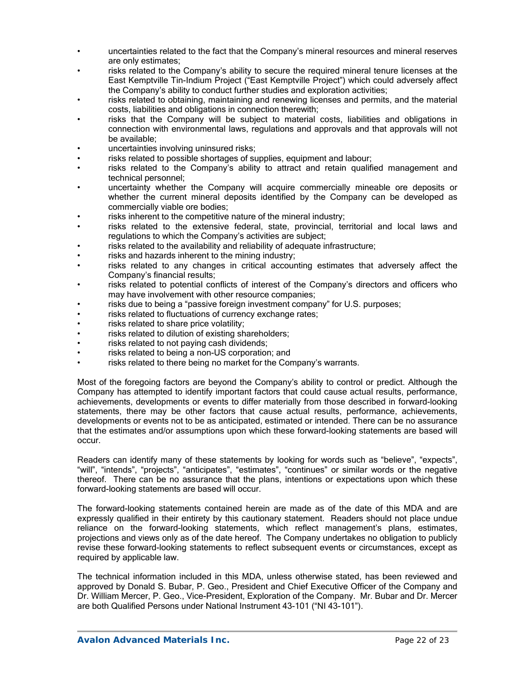- uncertainties related to the fact that the Company's mineral resources and mineral reserves are only estimates;
- risks related to the Company's ability to secure the required mineral tenure licenses at the East Kemptville Tin-Indium Project ("East Kemptville Project") which could adversely affect the Company's ability to conduct further studies and exploration activities;
- risks related to obtaining, maintaining and renewing licenses and permits, and the material costs, liabilities and obligations in connection therewith;
- risks that the Company will be subject to material costs, liabilities and obligations in connection with environmental laws, regulations and approvals and that approvals will not be available;
- uncertainties involving uninsured risks;
- risks related to possible shortages of supplies, equipment and labour;
- risks related to the Company's ability to attract and retain qualified management and technical personnel;
- uncertainty whether the Company will acquire commercially mineable ore deposits or whether the current mineral deposits identified by the Company can be developed as commercially viable ore bodies;
- risks inherent to the competitive nature of the mineral industry;
- risks related to the extensive federal, state, provincial, territorial and local laws and regulations to which the Company's activities are subject;
- risks related to the availability and reliability of adequate infrastructure;
- risks and hazards inherent to the mining industry;
- risks related to any changes in critical accounting estimates that adversely affect the Company's financial results;
- risks related to potential conflicts of interest of the Company's directors and officers who may have involvement with other resource companies;
- risks due to being a "passive foreign investment company" for U.S. purposes;
- risks related to fluctuations of currency exchange rates;
- risks related to share price volatility;
- risks related to dilution of existing shareholders;
- risks related to not paying cash dividends;
- risks related to being a non-US corporation; and
- risks related to there being no market for the Company's warrants.

Most of the foregoing factors are beyond the Company's ability to control or predict. Although the Company has attempted to identify important factors that could cause actual results, performance, achievements, developments or events to differ materially from those described in forward-looking statements, there may be other factors that cause actual results, performance, achievements, developments or events not to be as anticipated, estimated or intended. There can be no assurance that the estimates and/or assumptions upon which these forward-looking statements are based will occur.

Readers can identify many of these statements by looking for words such as "believe", "expects", "will", "intends", "projects", "anticipates", "estimates", "continues" or similar words or the negative thereof. There can be no assurance that the plans, intentions or expectations upon which these forward-looking statements are based will occur.

The forward-looking statements contained herein are made as of the date of this MDA and are expressly qualified in their entirety by this cautionary statement. Readers should not place undue reliance on the forward-looking statements, which reflect management's plans, estimates, projections and views only as of the date hereof. The Company undertakes no obligation to publicly revise these forward-looking statements to reflect subsequent events or circumstances, except as required by applicable law.

The technical information included in this MDA, unless otherwise stated, has been reviewed and approved by Donald S. Bubar, P. Geo., President and Chief Executive Officer of the Company and Dr. William Mercer, P. Geo., Vice-President, Exploration of the Company. Mr. Bubar and Dr. Mercer are both Qualified Persons under National Instrument 43-101 ("NI 43-101").